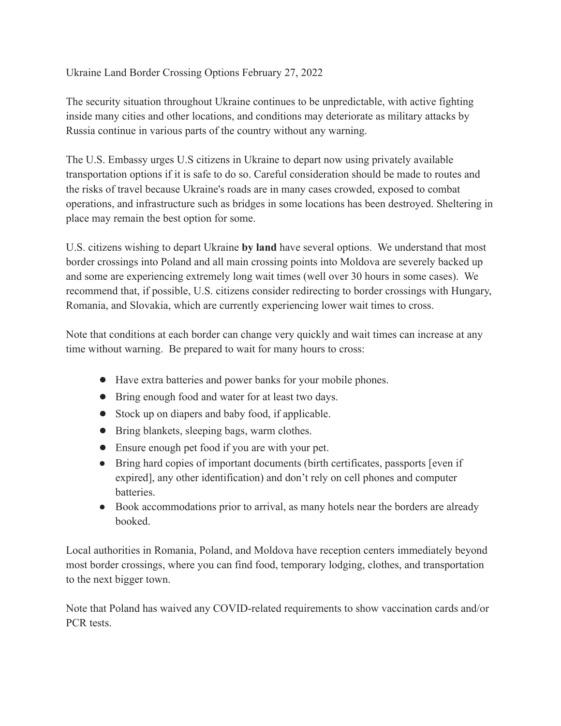## Ukraine Land Border Crossing Options February 27, 2022

The security situation throughout Ukraine continues to be unpredictable, with active fighting inside many cities and other locations, and conditions may deteriorate as military attacks by Russia continue in various parts of the country without any warning.

The U.S. Embassy urges U.S citizens in Ukraine to depart now using privately available transportation options if it is safe to do so. Careful consideration should be made to routes and the risks of travel because Ukraine's roads are in many cases crowded, exposed to combat operations, and infrastructure such as bridges in some locations has been destroyed. Sheltering in place may remain the best option for some.

U.S. citizens wishing to depart Ukraine **by land** have several options. We understand that most border crossings into Poland and all main crossing points into Moldova are severely backed up and some are experiencing extremely long wait times (well over 30 hours in some cases). We recommend that, if possible, U.S. citizens consider redirecting to border crossings with Hungary, Romania, and Slovakia, which are currently experiencing lower wait times to cross.

Note that conditions at each border can change very quickly and wait times can increase at any time without warning. Be prepared to wait for many hours to cross:

- Have extra batteries and power banks for your mobile phones.
- Bring enough food and water for at least two days.
- Stock up on diapers and baby food, if applicable.
- Bring blankets, sleeping bags, warm clothes.
- Ensure enough pet food if you are with your pet.
- Bring hard copies of important documents (birth certificates, passports [even if expired], any other identification) and don't rely on cell phones and computer batteries.
- Book accommodations prior to arrival, as many hotels near the borders are already booked.

Local authorities in Romania, Poland, and Moldova have reception centers immediately beyond most border crossings, where you can find food, temporary lodging, clothes, and transportation to the next bigger town.

Note that Poland has waived any COVID-related requirements to show vaccination cards and/or PCR tests.